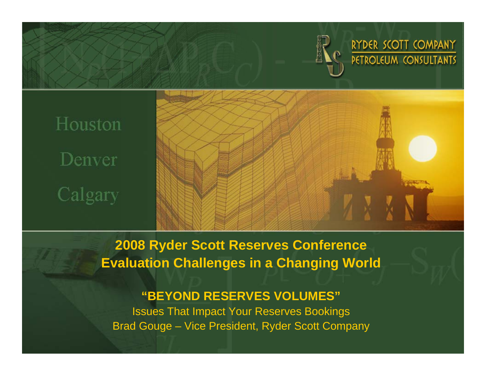

# Houston Denver Calgary



**2008 Ryder Scott Reserves Conference Evaluation Challenges in a Changing World**

#### **"BEYOND RESERVES VOLUMES"**

Issues That Impact Your Reserves Bookings Brad Gouge – Vice President, Ryder Scott Company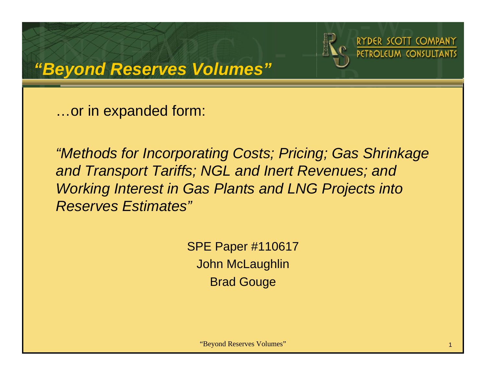



…or in expanded form:

*"Methods for Incorporating Costs; Pricing; Gas Shrinkage and Transport Tariffs; NGL and Inert Revenues; and Working Interest in Gas Plants and LNG Projects into Reserves Estimates"*

> SPE Paper #110617 John McLaughlin Brad Gouge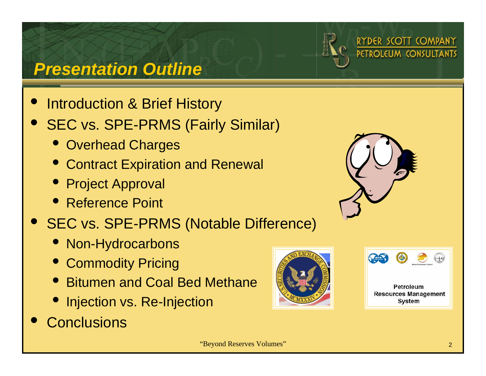

## *Presentation Outline*

- $\bullet$ Introduction & Brief History
- $\bullet$  SEC vs. SPE-PRMS (Fairly Similar)
	- Overhead Charges
	- Contract Expiration and Renewal
	- Project Approval
	- Reference Point

#### $\bullet$ SEC vs. SPE-PRMS (Notable Difference)

- Non-Hydrocarbons
- **Commodity Pricing**
- Bitumen and Coal Bed Methane
- Injection vs. Re-Injection
- $\bullet$ **Conclusions**







RYDER SCOTT COMPANY

PETROLEUM CONSULTANTS

Petroleum **Resources Management** System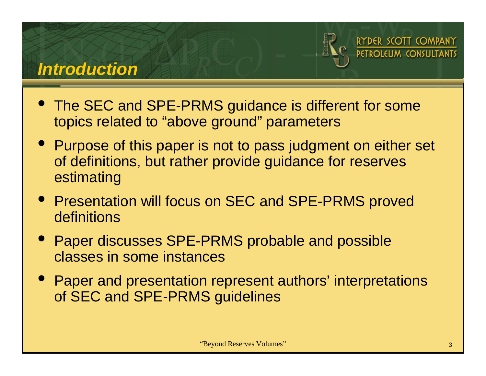#### *Introduction*



DER SCOTT COMPANY

 $\bullet$  The SEC and SPE-PRMS guidance is different for some topics related to "above ground" parameters

- Purpose of this paper is not to pass judgment on either set of definitions, but rather provide guidance for reserves estimating
- Presentation will focus on SEC and SPE-PRMS proved definitions
- Paper discusses SPE-PRMS probable and possible classes in some instances
- Paper and presentation represent authors' interpretations of SEC and SPE-PRMS guidelines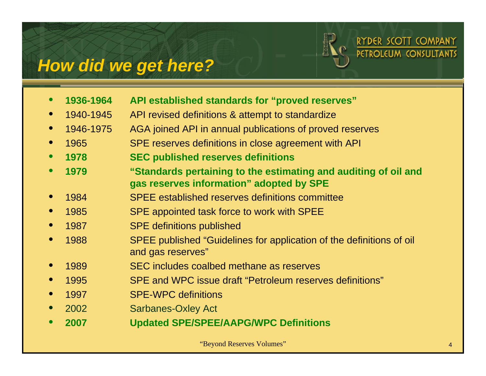## *How did we get here?*



|           | 1936-1964 | API established standards for "proved reserves"                                                             |
|-----------|-----------|-------------------------------------------------------------------------------------------------------------|
|           | 1940-1945 | API revised definitions & attempt to standardize                                                            |
|           | 1946-1975 | AGA joined API in annual publications of proved reserves                                                    |
| $\bullet$ | 1965      | SPE reserves definitions in close agreement with API                                                        |
| $\bullet$ | 1978      | <b>SEC published reserves definitions</b>                                                                   |
|           | 1979      | "Standards pertaining to the estimating and auditing of oil and<br>gas reserves information" adopted by SPE |
|           | 1984      | <b>SPEE</b> established reserves definitions committee                                                      |
|           | 1985      | SPE appointed task force to work with SPEE                                                                  |
| $\bullet$ | 1987      | <b>SPE definitions published</b>                                                                            |
|           | 1988      | SPEE published "Guidelines for application of the definitions of oil<br>and gas reserves"                   |
|           | 1989      | SEC includes coalbed methane as reserves                                                                    |
|           | 1995      | SPE and WPC issue draft "Petroleum reserves definitions"                                                    |
|           | 1997      | <b>SPE-WPC definitions</b>                                                                                  |
|           | 2002      | <b>Sarbanes-Oxley Act</b>                                                                                   |
|           | 2007      | <b>Updated SPE/SPEE/AAPG/WPC Definitions</b>                                                                |
|           |           |                                                                                                             |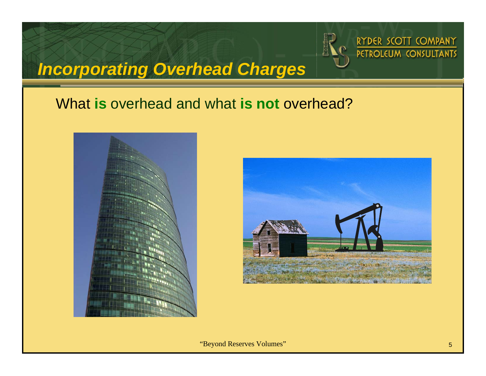

## *Incorporating Overhead Charges*

#### What **is** overhead and what **is not** overhead?





"Beyond Reserves Volumes" <sup>5</sup>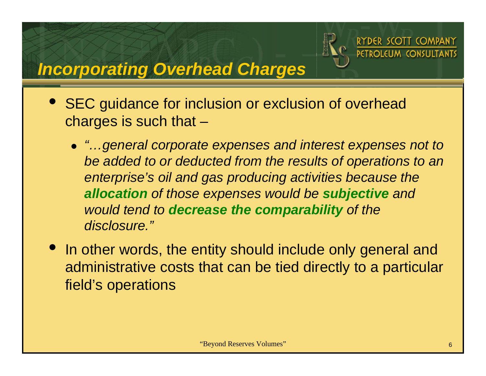

SCOTT COMPANY

## *Incorporating Overhead Charges*

- SEC guidance for inclusion or exclusion of overhead charges is such that –
	- z *"…general corporate expenses and interest expenses not to be added to or deducted from the results of operations to an enterprise's oil and gas producing activities because the allocation of those expenses would be subjective and would tend to decrease the comparability of the disclosure."*
- In other words, the entity should include only general and administrative costs that can be tied directly to a particular field's operations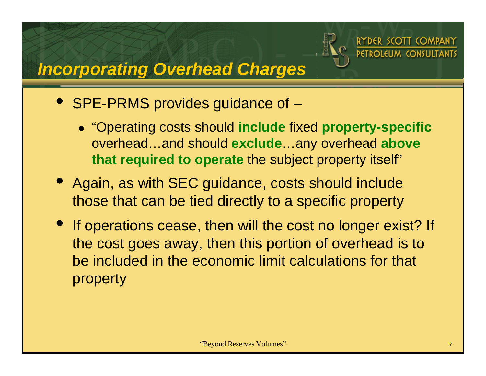

**PETROLELIM CONSLILTANTS** 

## *Incorporating Overhead Charges*

- SPE-PRMS provides guidance of
	- z "Operating costs should **include** fixed **property-specific** overhead…and should **exclude**…any overhead **above that required to operate** the subject property itself"
- Again, as with SEC guidance, costs should include those that can be tied directly to a specific property
- If operations cease, then will the cost no longer exist? If the cost goes away, then this portion of overhead is to be included in the economic limit calculations for that property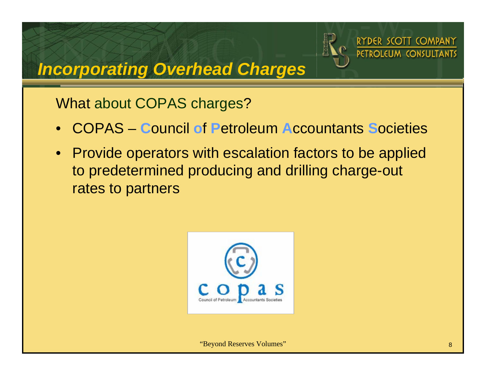

## *Incorporating Overhead Charges*

What about COPAS charges?

- •COPAS – **C**ouncil **o**f **P**etroleum **A**ccountants **S**ocieties
- $\bullet$  Provide operators with escalation factors to be applied to predetermined producing and drilling charge-out rates to partners

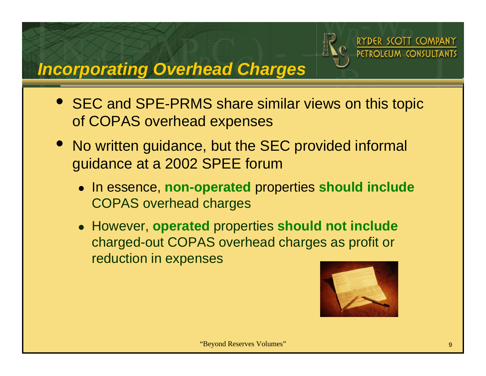

## *Incorporating Overhead Charges*

- $\bullet$  SEC and SPE-PRMS share similar views on this topic of COPAS overhead expenses
- No written guidance, but the SEC provided informal guidance at a 2002 SPEE forum
	- z In essence, **non-operated** properties **should include** COPAS overhead charges
	- z However, **operated** properties **should not include** charged-out COPAS overhead charges as profit or reduction in expenses

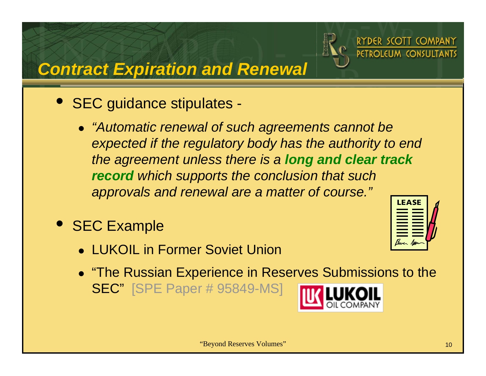

## *Contract Expiration and Renewal*

- $\bullet$  SEC guidance stipulates
	- z *"Automatic renewal of such agreements cannot be expected if the regulatory body has the authority to end the agreement unless there is a long and clear track record which supports the conclusion that such approvals and renewal are a matter of course."* **LEASE**
- SEC Example
	- LUKOIL in Former Soviet Union
	- "The Russian Experience in Reserves Submissions to the SEC" [SPE Paper # 95849-MS]

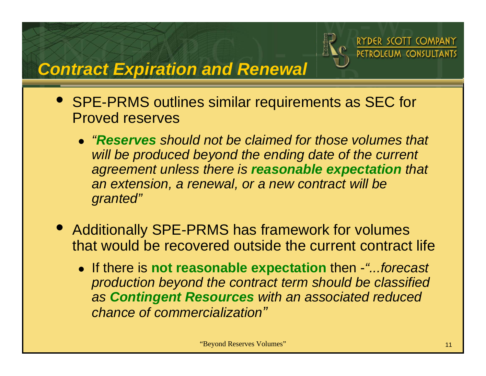

**PETROLELIM CONSLILTANTS** 

## *Contract Expiration and Renewal*

- $\bullet$  SPE-PRMS outlines similar requirements as SEC for Proved reserves
	- z*"Reserves should not be claimed for those volumes that will be produced beyond the ending date of the current agreement unless there is reasonable expectation that an extension, a renewal, or a new contract will be granted"*
- $\bullet$  Additionally SPE-PRMS has framework for volumes that would be recovered outside the current contract life
	- z If there is **not reasonable expectation** then -*"...forecast production beyond the contract term should be classified as Contingent Resources with an associated reduced chance of commercialization"*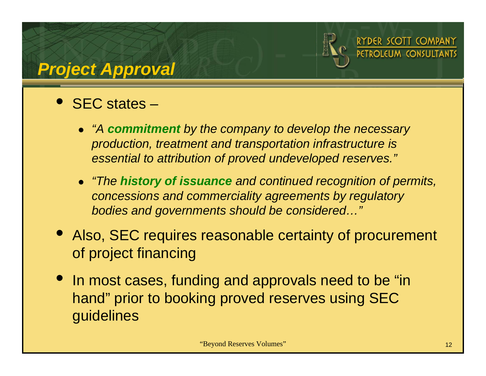

## *Project Approval*

## • SEC states –

- z *"A commitment by the company to develop the necessary production, treatment and transportation infrastructure is essential to attribution of proved undeveloped reserves."*
- z *"The history of issuance and continued recognition of permits, concessions and commerciality agreements by regulatory bodies and governments should be considered…"*
- $\bullet$  Also, SEC requires reasonable certainty of procurement of project financing
- In most cases, funding and approvals need to be "in hand" prior to booking proved reserves using SEC guidelines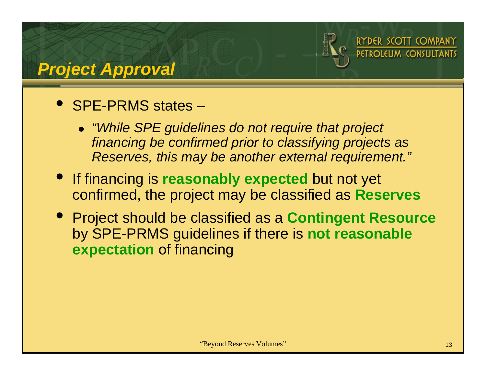

## *Project Approval*

## • SPE-PRMS states –

- z *"While SPE guidelines do not require that project financing be confirmed prior to classifying projects as Reserves, this may be another external requirement."*
- If financing is **reasonably expected** but not yet confirmed, the project may be classified as **Reserves**
- Project should be classified as a **Contingent Resource** by SPE-PRMS guidelines if there is **not reasonable expectation** of financing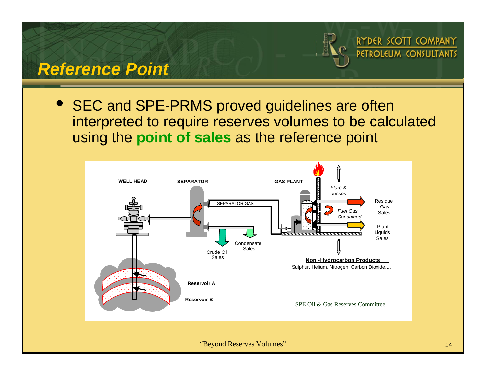

#### *Reference Point*

 $\bullet$  SEC and SPE-PRMS proved guidelines are often interpreted to require reserves volumes to be calculated using the **point of sales** as the reference point

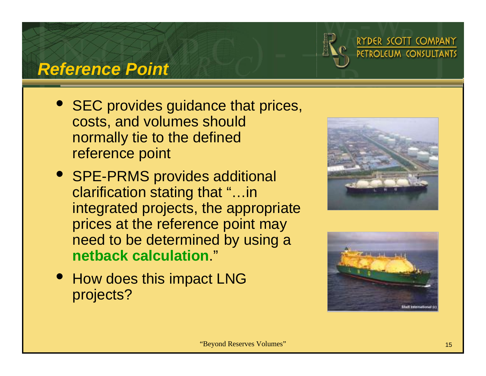

#### *Reference Point*

- SEC provides guidance that prices, costs, and volumes should normally tie to the defined reference point
- SPE-PRMS provides additional clarification stating that "…in integrated projects, the appropriate prices at the reference point may need to be determined by using a **netback calculation**."
- How does this impact LNG projects?



RYDER SCOTT COMPANY PETROLEUM CONSULTANTS

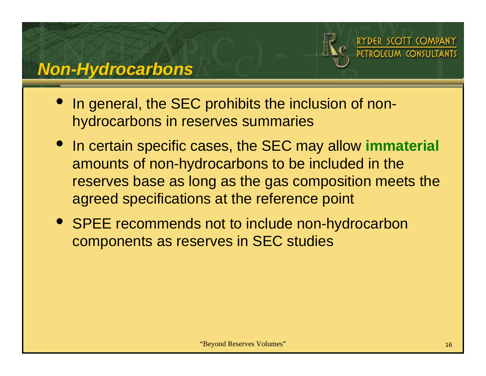

- In general, the SEC prohibits the inclusion of nonhydrocarbons in reserves summaries
- In certain specific cases, the SEC may allow **immaterial** amounts of non-hydrocarbons to be included in the reserves base as long as the gas composition meets the agreed specifications at the reference point
- SPEE recommends not to include non-hydrocarbon components as reserves in SEC studies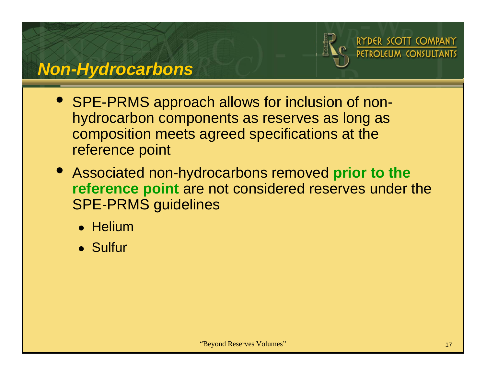

## *Non-Hydrocarbons*

- SPE-PRMS approach allows for inclusion of nonhydrocarbon components as reserves as long as composition meets agreed specifications at the reference point
- Associated non-hydrocarbons removed **prior to the reference point** are not considered reserves under the SPE-PRMS guidelines
	- Helium
	- Sulfur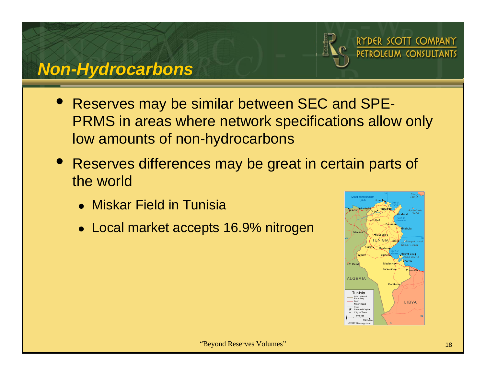

## *Non-Hydrocarbons*

- $\bullet$  Reserves may be similar between SEC and SPE-PRMS in areas where network specifications allow only low amounts of non-hydrocarbons
- Reserves differences may be great in certain parts of the world
	- Miskar Field in Tunisia
	- Local market accepts 16.9% nitrogen

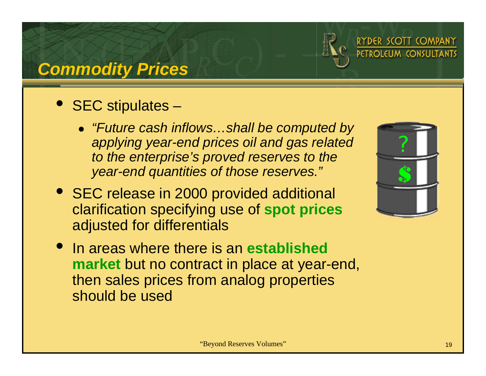

## *Commodity Prices*

## • SEC stipulates –

- z *"Future cash inflows…shall be computed by applying year-end prices oil and gas related to the enterprise's proved reserves to the year-end quantities of those reserves."*
- SEC release in 2000 provided additional clarification specifying use of **spot prices** adjusted for differentials



RYDER SCOTT COMPANY **PETROLEUM CONSULTANTS** 

 $\bullet$  In areas where there is an **established market** but no contract in place at year-end, then sales prices from analog properties should be used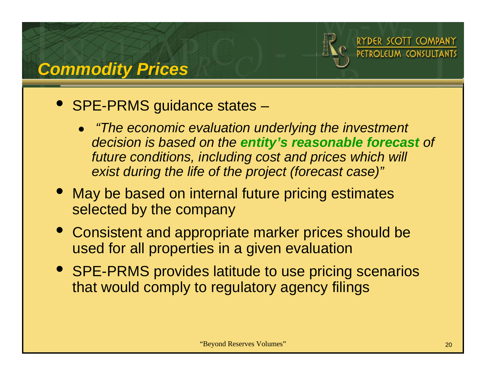

## *Commodity Prices*

## • SPE-PRMS guidance states –

- z *"The economic evaluation underlying the investment decision is based on the entity's reasonable forecast of future conditions, including cost and prices which will exist during the life of the project (forecast case)"*
- May be based on internal future pricing estimates selected by the company
- Consistent and appropriate marker prices should be used for all properties in a given evaluation
- SPE-PRMS provides latitude to use pricing scenarios that would comply to regulatory agency filings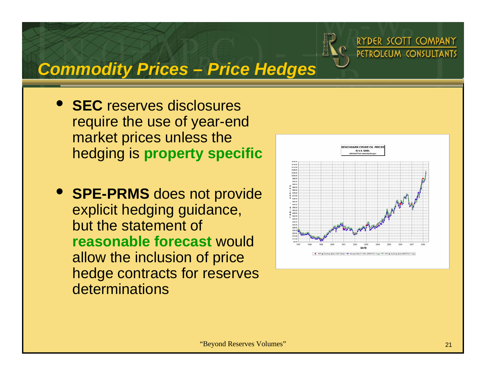

## *Commodity Prices – Price Hedges*

- **SEC** reserves disclosures require the use of year-end market prices unless the hedging is **property specific**
- **SPE-PRMS** does not provide explicit hedging guidance, but the statement of **reasonable forecast** would allow the inclusion of price hedge contracts for reserves **determinations**

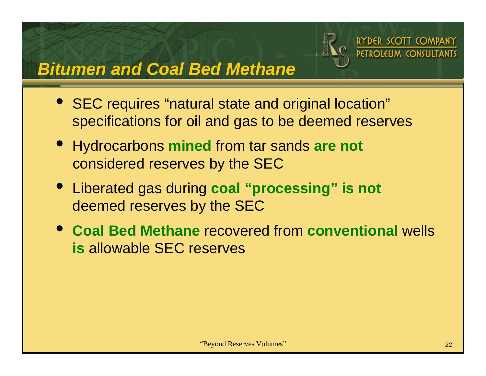

*Bitumen and Coal Bed Methane* 

- SEC requires "natural state and original location" specifications for oil and gas to be deemed reserves
- Hydrocarbons **mined** from tar sands **are not** considered reserves by the SEC
- Liberated gas during **coal "processing" is not** deemed reserves by the SEC
- **Coal Bed Methane** recovered from **conventional** wells **is** allowable SEC reserves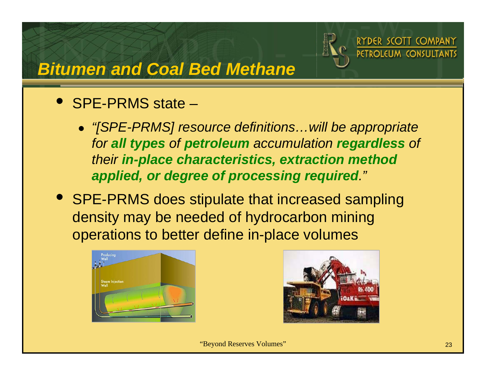

## *Bitumen and Coal Bed Methane*

#### • SPE-PRMS state –

- z *"[SPE-PRMS] resource definitions…will be appropriate for all types of petroleum accumulation regardless of their in-place characteristics, extraction method applied, or degree of processing required."*
- SPE-PRMS does stipulate that increased sampling density may be needed of hydrocarbon mining operations to better define in-place volumes



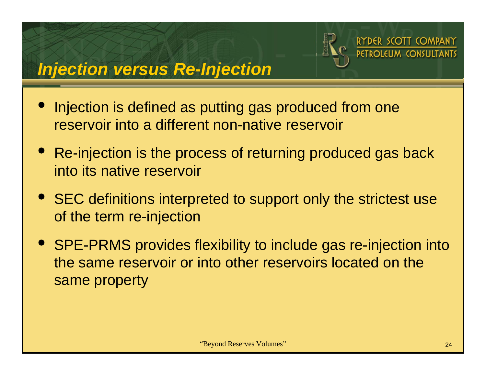

SCOTT COMPANY



- $\bullet$  Injection is defined as putting gas produced from one reservoir into a different non-native reservoir
- Re-injection is the process of returning produced gas back into its native reservoir
- SEC definitions interpreted to support only the strictest use of the term re-injection
- SPE-PRMS provides flexibility to include gas re-injection into the same reservoir or into other reservoirs located on the same property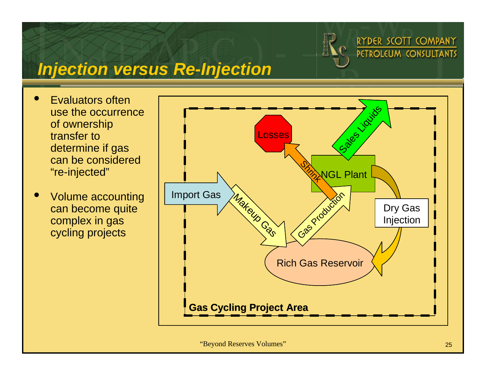

## *Injection versus Re-Injection*

- $\bullet$  Evaluators often use the occurrence of ownership transfer to determine if gas can be considered "re-injected"
- $\bullet$  Volume accounting can become quite complex in gas cycling projects

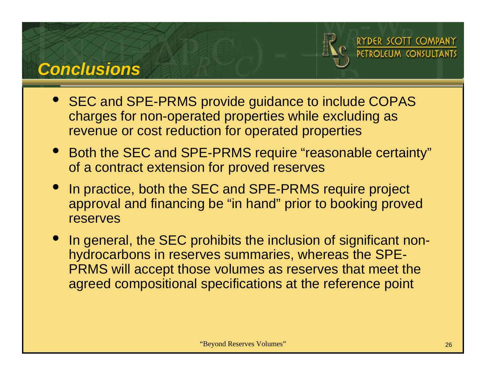### *Conclusions*



DER SCOTT COMPANY

- SEC and SPE-PRMS provide guidance to include COPAS charges for non-operated properties while excluding as revenue or cost reduction for operated properties
- Both the SEC and SPE-PRMS require "reasonable certainty" of a contract extension for proved reserves
- $\bullet$  In practice, both the SEC and SPE-PRMS require project approval and financing be "in hand" prior to booking proved reserves
- In general, the SEC prohibits the inclusion of significant nonhydrocarbons in reserves summaries, whereas the SPE-PRMS will accept those volumes as reserves that meet the agreed compositional specifications at the reference point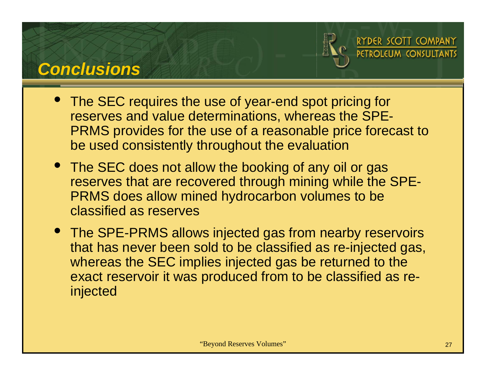## *Conclusions*



DER SCOTT COMPANY



- The SEC does not allow the booking of any oil or gas reserves that are recovered through mining while the SPE-PRMS does allow mined hydrocarbon volumes to be classified as reserves
- The SPE-PRMS allows injected gas from nearby reservoirs that has never been sold to be classified as re-injected gas, whereas the SEC implies injected gas be returned to the exact reservoir it was produced from to be classified as reinjected